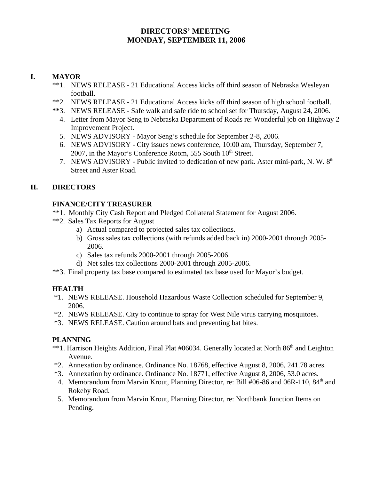# **DIRECTORS' MEETING MONDAY, SEPTEMBER 11, 2006**

## **I. MAYOR**

- \*\*1. NEWS RELEASE 21 Educational Access kicks off third season of Nebraska Wesleyan football.
- \*\*2. NEWS RELEASE 21 Educational Access kicks off third season of high school football.
- **\*\***3. NEWS RELEASE Safe walk and safe ride to school set for Thursday, August 24, 2006.
	- 4. Letter from Mayor Seng to Nebraska Department of Roads re: Wonderful job on Highway 2 Improvement Project.
	- 5. NEWS ADVISORY Mayor Seng's schedule for September 2-8, 2006.
	- 6. NEWS ADVISORY City issues news conference, 10:00 am, Thursday, September 7, 2007, in the Mayor's Conference Room, 555 South  $10<sup>th</sup>$  Street.
	- 7. NEWS ADVISORY Public invited to dedication of new park. Aster mini-park, N. W.  $8<sup>th</sup>$ Street and Aster Road.

# **II. DIRECTORS**

## **FINANCE/CITY TREASURER**

- \*\*1. Monthly City Cash Report and Pledged Collateral Statement for August 2006.
- \*\*2. Sales Tax Reports for August
	- a) Actual compared to projected sales tax collections.
	- b) Gross sales tax collections (with refunds added back in) 2000-2001 through 2005- 2006.
	- c) Sales tax refunds 2000-2001 through 2005-2006.
	- d) Net sales tax collections 2000-2001 through 2005-2006.
- \*\*3. Final property tax base compared to estimated tax base used for Mayor's budget.

# **HEALTH**

- \*1. NEWS RELEASE. Household Hazardous Waste Collection scheduled for September 9, 2006.
- \*2. NEWS RELEASE. City to continue to spray for West Nile virus carrying mosquitoes.
- \*3. NEWS RELEASE. Caution around bats and preventing bat bites.

### **PLANNING**

- \*\*1. Harrison Heights Addition, Final Plat #06034. Generally located at North 86<sup>th</sup> and Leighton Avenue.
- \*2. Annexation by ordinance. Ordinance No. 18768, effective August 8, 2006, 241.78 acres.
- \*3. Annexation by ordinance. Ordinance No. 18771, effective August 8, 2006, 53.0 acres.
- 4. Memorandum from Marvin Krout, Planning Director, re: Bill #06-86 and 06R-110, 84<sup>th</sup> and Rokeby Road.
- 5. Memorandum from Marvin Krout, Planning Director, re: Northbank Junction Items on Pending.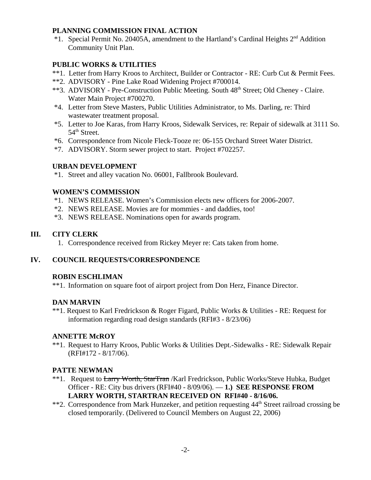### **PLANNING COMMISSION FINAL ACTION**

 \*1. Special Permit No. 20405A, amendment to the Hartland's Cardinal Heights 2nd Addition Community Unit Plan.

### **PUBLIC WORKS & UTILITIES**

- \*\*1. Letter from Harry Kroos to Architect, Builder or Contractor RE: Curb Cut & Permit Fees.
- \*\*2. ADVISORY Pine Lake Road Widening Project #700014.
- \*\*3. ADVISORY Pre-Construction Public Meeting. South 48<sup>th</sup> Street; Old Cheney Claire. Water Main Project #700270.
- \*4. Letter from Steve Masters, Public Utilities Administrator, to Ms. Darling, re: Third wastewater treatment proposal.
- \*5. Letter to Joe Karas, from Harry Kroos, Sidewalk Services, re: Repair of sidewalk at 3111 So. 54<sup>th</sup> Street.
- \*6. Correspondence from Nicole Fleck-Tooze re: 06-155 Orchard Street Water District.
- \*7. ADVISORY. Storm sewer project to start. Project #702257.

### **URBAN DEVELOPMENT**

\*1. Street and alley vacation No. 06001, Fallbrook Boulevard.

### **WOMEN'S COMMISSION**

- \*1. NEWS RELEASE. Women's Commission elects new officers for 2006-2007.
- \*2. NEWS RELEASE. Movies are for mommies and daddies, too!
- \*3. NEWS RELEASE. Nominations open for awards program.

### **III. CITY CLERK**

1. Correspondence received from Rickey Meyer re: Cats taken from home.

### **IV. COUNCIL REQUESTS/CORRESPONDENCE**

### **ROBIN ESCHLIMAN**

\*\*1. Information on square foot of airport project from Don Herz, Finance Director.

### **DAN MARVIN**

\*\*1. Request to Karl Fredrickson & Roger Figard, Public Works & Utilities - RE: Request for information regarding road design standards (RFI#3 - 8/23/06)

### **ANNETTE McROY**

\*\*1. Request to Harry Kroos, Public Works & Utilities Dept.-Sidewalks - RE: Sidewalk Repair (RFI#172 - 8/17/06).

### **PATTE NEWMAN**

- \*\*1. Request to Larry Worth, StarTran /Karl Fredrickson, Public Works/Steve Hubka, Budget Officer - RE: City bus drivers (RFI#40 - 8/09/06). — **1.) SEE RESPONSE FROM LARRY WORTH, STARTRAN RECEIVED ON RFI#40 - 8/16/06.**
- \*\*2. Correspondence from Mark Hunzeker, and petition requesting 44<sup>th</sup> Street railroad crossing be closed temporarily. (Delivered to Council Members on August 22, 2006)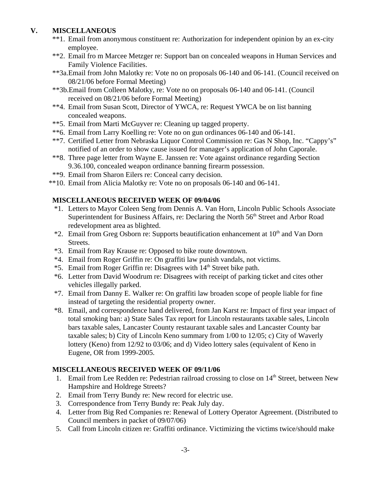## **V. MISCELLANEOUS**

- \*\*1. Email from anonymous constituent re: Authorization for independent opinion by an ex-city employee.
- \*\*2. Email fro m Marcee Metzger re: Support ban on concealed weapons in Human Services and Family Violence Facilities.
- \*\*3a.Email from John Malotky re: Vote no on proposals 06-140 and 06-141. (Council received on 08/21/06 before Formal Meeting)
- \*\*3b.Email from Colleen Malotky, re: Vote no on proposals 06-140 and 06-141. (Council received on 08/21/06 before Formal Meeting)
- \*\*4. Email from Susan Scott, Director of YWCA, re: Request YWCA be on list banning concealed weapons.
- \*\*5. Email from Marti McGuyver re: Cleaning up tagged property.
- \*\*6. Email from Larry Koelling re: Vote no on gun ordinances 06-140 and 06-141.
- \*\*7. Certified Letter from Nebraska Liquor Control Commission re: Gas N Shop, Inc. "Cappy's" notified of an order to show cause issued for manager's application of John Caporale.
- \*\*8. Three page letter from Wayne E. Janssen re: Vote against ordinance regarding Section 9.36.100, concealed weapon ordinance banning firearm possession.
- \*\*9. Email from Sharon Eilers re: Conceal carry decision.
- \*\*10. Email from Alicia Malotky re: Vote no on proposals 06-140 and 06-141.

### **MISCELLANEOUS RECEIVED WEEK OF 09/04/06**

- \*1. Letters to Mayor Coleen Seng from Dennis A. Van Horn, Lincoln Public Schools Associate Superintendent for Business Affairs, re: Declaring the North 56<sup>th</sup> Street and Arbor Road redevelopment area as blighted.
- $*2$ . Email from Greg Osborn re: Supports beautification enhancement at  $10<sup>th</sup>$  and Van Dorn Streets.
- \*3. Email from Ray Krause re: Opposed to bike route downtown.
- \*4. Email from Roger Griffin re: On graffiti law punish vandals, not victims.
- \*5. Email from Roger Griffin re: Disagrees with 14<sup>th</sup> Street bike path.
- \*6. Letter from David Woodrum re: Disagrees with receipt of parking ticket and cites other vehicles illegally parked.
- \*7. Email from Danny E. Walker re: On graffiti law broaden scope of people liable for fine instead of targeting the residential property owner.
- \*8. Email, and correspondence hand delivered, from Jan Karst re: Impact of first year impact of total smoking ban: a) State Sales Tax report for Lincoln restaurants taxable sales, Lincoln bars taxable sales, Lancaster County restaurant taxable sales and Lancaster County bar taxable sales; b) City of Lincoln Keno summary from 1/00 to 12/05; c) City of Waverly lottery (Keno) from 12/92 to 03/06; and d) Video lottery sales (equivalent of Keno in Eugene, OR from 1999-2005.

### **MISCELLANEOUS RECEIVED WEEK OF 09/11/06**

- 1. Email from Lee Redden re: Pedestrian railroad crossing to close on 14<sup>th</sup> Street, between New Hampshire and Holdrege Streets?
- 2. Email from Terry Bundy re: New record for electric use.
- 3. Correspondence from Terry Bundy re: Peak July day.
- 4. Letter from Big Red Companies re: Renewal of Lottery Operator Agreement. (Distributed to Council members in packet of 09/07/06)
- 5. Call from Lincoln citizen re: Graffiti ordinance. Victimizing the victims twice/should make